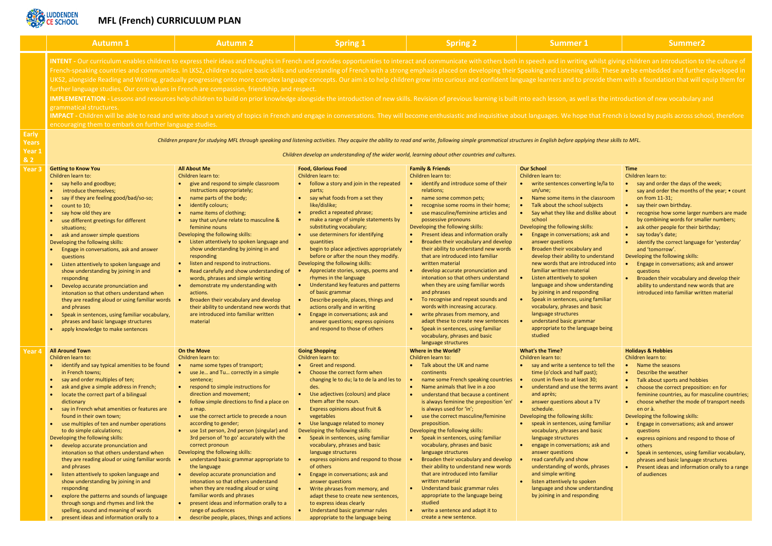

## **MFL (French) CURRICULUM PLAN**

|                                            | <b>Autumn 1</b>                                                                                                                                                                                                                                                                                                                                                                                                                                                                                                                                                                                                                                                                                                                                                                                                                                                                                                                                                                                                                                                                                                                                                                                                                                                                                                                                             | <b>Autumn 2</b>                                                                                                                                                                                                                                                                                                                                                                                                                                                                                                                                                                                                                                                                                                                                                                                                                          | <b>Spring 1</b>                                                                                                                                                                                                                                                                                                                                                                                                                                                                                                                                                                                                                                                                                                                                                                          | <b>Spring 2</b>                                                                                                                                                                                                                                                                                                                                                                                                                                                                                                                                                                                                                                                                                                                                                                                                                                              | <b>Summer 1</b>                                                                                                                                                                                                                                                                                                                                                                                                                                                                                                                                                                                                                                                                                                                      | Summer <sub>2</sub>                                                                                                                                                                                                                                                                                                                                                                                                                                                                                         |
|--------------------------------------------|-------------------------------------------------------------------------------------------------------------------------------------------------------------------------------------------------------------------------------------------------------------------------------------------------------------------------------------------------------------------------------------------------------------------------------------------------------------------------------------------------------------------------------------------------------------------------------------------------------------------------------------------------------------------------------------------------------------------------------------------------------------------------------------------------------------------------------------------------------------------------------------------------------------------------------------------------------------------------------------------------------------------------------------------------------------------------------------------------------------------------------------------------------------------------------------------------------------------------------------------------------------------------------------------------------------------------------------------------------------|------------------------------------------------------------------------------------------------------------------------------------------------------------------------------------------------------------------------------------------------------------------------------------------------------------------------------------------------------------------------------------------------------------------------------------------------------------------------------------------------------------------------------------------------------------------------------------------------------------------------------------------------------------------------------------------------------------------------------------------------------------------------------------------------------------------------------------------|------------------------------------------------------------------------------------------------------------------------------------------------------------------------------------------------------------------------------------------------------------------------------------------------------------------------------------------------------------------------------------------------------------------------------------------------------------------------------------------------------------------------------------------------------------------------------------------------------------------------------------------------------------------------------------------------------------------------------------------------------------------------------------------|--------------------------------------------------------------------------------------------------------------------------------------------------------------------------------------------------------------------------------------------------------------------------------------------------------------------------------------------------------------------------------------------------------------------------------------------------------------------------------------------------------------------------------------------------------------------------------------------------------------------------------------------------------------------------------------------------------------------------------------------------------------------------------------------------------------------------------------------------------------|--------------------------------------------------------------------------------------------------------------------------------------------------------------------------------------------------------------------------------------------------------------------------------------------------------------------------------------------------------------------------------------------------------------------------------------------------------------------------------------------------------------------------------------------------------------------------------------------------------------------------------------------------------------------------------------------------------------------------------------|-------------------------------------------------------------------------------------------------------------------------------------------------------------------------------------------------------------------------------------------------------------------------------------------------------------------------------------------------------------------------------------------------------------------------------------------------------------------------------------------------------------|
|                                            | INTENT - Our curriculum enables children to express their ideas and thoughts in French and provides opportunities to interact and communicate with others both in speech and in writing whilst giving children an introduction<br>French-speaking countries and communities. In LKS2, children acquire basic skills and understanding of French with a strong emphasis placed on developing their Speaking and Listening skills. These are be embedded and furth<br>UKS2, alongside Reading and Writing, gradually progressing onto more complex language concepts. Our aim is to help children grow into curious and confident language learners and to provide them with a foundation that will<br>further language studies. Our core values in French are compassion, friendship, and respect.<br>IMPLEMENTATION - Lessons and resources help children to build on prior knowledge alongside the introduction of new skills. Revision of previous learning is built into each lesson, as well as the introduction of new vocabul<br>grammatical structures.<br>IMPACT - Children will be able to read and write about a variety of topics in French and engage in conversations. They will become enthusiastic and inquisitive about languages. We hope that French is loved by pupils across<br>encouraging them to embark on further language studies. |                                                                                                                                                                                                                                                                                                                                                                                                                                                                                                                                                                                                                                                                                                                                                                                                                                          |                                                                                                                                                                                                                                                                                                                                                                                                                                                                                                                                                                                                                                                                                                                                                                                          |                                                                                                                                                                                                                                                                                                                                                                                                                                                                                                                                                                                                                                                                                                                                                                                                                                                              |                                                                                                                                                                                                                                                                                                                                                                                                                                                                                                                                                                                                                                                                                                                                      |                                                                                                                                                                                                                                                                                                                                                                                                                                                                                                             |
| Early<br>Years<br>Year 1<br>2 <sub>2</sub> | Children prepare for studying MFL through speaking and listening activities. They acquire the ability to read and write, following simple grammatical structures in English before applying these skills to MFL.<br>Children develop an understanding of the wider world, learning about other countries and cultures.                                                                                                                                                                                                                                                                                                                                                                                                                                                                                                                                                                                                                                                                                                                                                                                                                                                                                                                                                                                                                                      |                                                                                                                                                                                                                                                                                                                                                                                                                                                                                                                                                                                                                                                                                                                                                                                                                                          |                                                                                                                                                                                                                                                                                                                                                                                                                                                                                                                                                                                                                                                                                                                                                                                          |                                                                                                                                                                                                                                                                                                                                                                                                                                                                                                                                                                                                                                                                                                                                                                                                                                                              |                                                                                                                                                                                                                                                                                                                                                                                                                                                                                                                                                                                                                                                                                                                                      |                                                                                                                                                                                                                                                                                                                                                                                                                                                                                                             |
| Year <sub>3</sub>                          | <b>Getting to Know You</b><br>Children learn to:<br>say hello and goodbye;<br>introduce themselves;<br>say if they are feeling good/bad/so-so;<br>count to 10;<br>$\bullet$<br>say how old they are<br>use different greetings for different<br>situations;<br>• ask and answer simple questions<br>Developing the following skills:<br>Engage in conversations, ask and answer<br>questions<br>Listen attentively to spoken language and<br>show understanding by joining in and<br>responding<br>Develop accurate pronunciation and<br>intonation so that others understand when<br>they are reading aloud or using familiar words<br>and phrases<br>Speak in sentences, using familiar vocabulary,<br>phrases and basic language structures<br>apply knowledge to make sentences                                                                                                                                                                                                                                                                                                                                                                                                                                                                                                                                                                         | <b>All About Me</b><br>Children learn to:<br>give and respond to simple classroom<br>instructions appropriately;<br>name parts of the body;<br>identify colours;<br>name items of clothing;<br>say that un/une relate to masculine &<br>feminine nouns<br>Developing the following skills:<br>Listen attentively to spoken language and<br>show understanding by joining in and<br>responding<br>listen and respond to instructions.<br>Read carefully and show understanding of<br>words, phrases and simple writing<br>demonstrate my understanding with<br>actions.<br>Broaden their vocabulary and develop<br>their ability to understand new words that<br>are introduced into familiar written<br>material                                                                                                                         | <b>Food, Glorious Food</b><br>Children learn to:<br>follow a story and join in the repeated<br>parts;<br>• say what foods from a set they<br>like/dislike;<br>predict a repeated phrase;<br>make a range of simple statements by<br>substituting vocabulary;<br>use determiners for identifying<br>quantities<br>begin to place adjectives appropriately<br>before or after the noun they modify.<br>Developing the following skills:<br>Appreciate stories, songs, poems and<br>rhymes in the language<br>• Understand key features and patterns<br>of basic grammar<br>Describe people, places, things and<br>$\bullet$<br>actions orally and in writing<br>Engage in conversations; ask and<br>answer questions; express opinions<br>and respond to those of others                   | <b>Family &amp; Friends</b><br>Children learn to:<br>identify and introduce some of their<br>relations;<br>name some common pets;<br>$\bullet$<br>recognise some rooms in their home;<br>use masculine/feminine articles and<br>$\bullet$<br>possessive pronouns<br>Developing the following skills:<br>Present ideas and information orally<br>Broaden their vocabulary and develop<br>their ability to understand new words $\bullet$<br>that are introduced into familiar<br>written material<br>develop accurate pronunciation and<br>intonation so that others understand<br>when they are using familiar words<br>and phrases<br>To recognise and repeat sounds and<br>words with increasing accuracy.<br>write phrases from memory, and<br>adapt these to create new sentences<br>Speak in sentences, using familiar<br>vocabulary, phrases and basic | <b>Our School</b><br>Children learn to:<br>write sentences converting le/la to<br>un/une;<br>Name some items in the classroom<br>Talk about the school subjects<br>Say what they like and dislike about<br>school<br>Developing the following skills:<br>Engage in conversations; ask and<br>answer questions<br>Broaden their vocabulary and<br>develop their ability to understand<br>new words that are introduced into<br>familiar written material<br>Listen attentively to spoken<br>language and show understanding<br>by joining in and responding<br>Speak in sentences, using familiar<br>vocabulary, phrases and basic<br>language structures<br>understand basic grammar<br>appropriate to the language being<br>studied | <b>Time</b><br>Children learn to:<br>say and order the days of the<br>• say and order the months of<br>on from 11-31;<br>• say their own birthday.<br>recognise how some larger r<br>by combining words for sma<br>ask other people for their bir<br>say today's date;<br>identify the correct language<br>and 'tomorrow'.<br>Developing the following skills:<br>Engage in conversations; ask<br>questions<br>Broaden their vocabulary an<br>ability to understand new wo<br>introduced into familiar writ |
| Year 4                                     | <b>All Around Town</b><br>Children learn to:<br>identify and say typical amenities to be found<br>in French towns;<br>say and order multiples of ten;<br>$\bullet$<br>ask and give a simple address in French;<br>locate the correct part of a bilingual<br>dictionary<br>say in French what amenities or features are<br>found in their own town;<br>use multiples of ten and number operations<br>$\bullet$<br>to do simple calculations;<br>Developing the following skills:<br>develop accurate pronunciation and<br>intonation so that others understand when<br>they are reading aloud or using familiar words<br>and phrases<br>listen attentively to spoken language and<br>show understanding by joining in and<br>responding<br>explore the patterns and sounds of language<br>through songs and rhymes and link the<br>spelling, sound and meaning of words<br>present ideas and information orally to a                                                                                                                                                                                                                                                                                                                                                                                                                                         | <b>On the Move</b><br>Children learn to:<br>name some types of transport;<br>use Je and Tu correctly in a simple<br>$\bullet$<br>sentence;<br>respond to simple instructions for<br>direction and movement;<br>follow simple directions to find a place on<br>a map.<br>use the correct article to precede a noun<br>$\bullet$<br>according to gender;<br>use 1st person, 2nd person (singular) and<br>3rd person of 'to go' accurately with the<br>correct pronoun<br>Developing the following skills:<br>understand basic grammar appropriate to<br>the language<br>develop accurate pronunciation and<br>intonation so that others understand<br>when they are reading aloud or using<br>familiar words and phrases<br>present ideas and information orally to a<br>range of audiences<br>describe people, places, things and actions | <b>Going Shopping</b><br>Children learn to:<br>Greet and respond.<br>Choose the correct form when<br>changing le to du; la to de la and les to<br>des.<br>Use adjectives (colours) and place<br>$\bullet$<br>them after the noun.<br>Express opinions about fruit &<br>$\bullet$<br>vegetables<br>• Use language related to money<br>Developing the following skills:<br>Speak in sentences, using familiar<br>$\bullet$<br>vocabulary, phrases and basic<br>language structures<br>express opinions and respond to those<br>of others<br>Engage in conversations; ask and<br>answer questions<br>Write phrases from memory, and<br>adapt these to create new sentences,<br>to express ideas clearly<br>Understand basic grammar rules<br>$\bullet$<br>appropriate to the language being | language structures<br>Where in the World?<br>Children learn to:<br>Talk about the UK and name<br>continents<br>name some French speaking countries<br>Name animals that live in a zoo<br>understand that because a continent<br>is always feminine the preposition 'en'<br>is always used for 'in';<br>use the correct masculine/feminine<br>preposition.<br>Developing the following skills:<br>Speak in sentences, using familiar<br>vocabulary, phrases and basic<br>language structures<br>Broaden their vocabulary and develop<br>their ability to understand new words<br>that are introduced into familiar<br>written material<br>Understand basic grammar rules<br>appropriate to the language being<br>studied<br>write a sentence and adapt it to<br>$\bullet$<br>create a new sentence.                                                          | What's the Time?<br>Children learn to:<br>• say and write a sentence to tell the<br>time (o'clock and half past);<br>count in fives to at least 30;<br>understand and use the terms avant<br>$\bullet$<br>and après;<br>answer questions about a TV<br>$\bullet$<br>schedule.<br>Developing the following skills:<br>• speak in sentences, using familiar<br>vocabulary, phrases and basic<br>language structures<br>engage in conversations; ask and<br>answer questions<br>read carefully and show<br>understanding of words, phrases<br>and simple writing<br>listen attentively to spoken<br>$\bullet$<br>language and show understanding<br>by joining in and responding                                                        | <b>Holidays &amp; Hobbies</b><br>Children learn to:<br>Name the seasons<br>Describe the weather<br>$\bullet$<br>Talk about sports and hobbie<br>choose the correct preposition<br>feminine countries, au for m<br>• choose whether the mode of<br>en or à.<br>Developing the following skills:<br>Engage in conversations; ask<br>questions<br>express opinions and respon<br>others<br>Speak in sentences, using far<br>phrases and basic language s<br>Present ideas and information<br>of audiences      |

|                          | <b>Time</b>                                                                          |
|--------------------------|--------------------------------------------------------------------------------------|
|                          | Children learn to:                                                                   |
| erting le/la to          | say and order the days of the week;<br>$\bullet$                                     |
|                          | say and order the months of the year; • count<br>$\bullet$                           |
| he classroom             | on from 11-31;                                                                       |
| subjects                 | say their own birthday.                                                              |
| d dislike about          | recognise how some larger numbers are made<br>$\bullet$                              |
|                          | by combining words for smaller numbers;                                              |
| kills:                   | ask other people for their birthday;<br>$\bullet$                                    |
| ns; ask and              | say today's date;                                                                    |
|                          | identify the correct language for 'yesterday'                                        |
| lary and<br>o understand | and 'tomorrow'.                                                                      |
| itroduced into           | Developing the following skills:                                                     |
| rial                     | Engage in conversations; ask and answer<br>questions                                 |
| poken                    | Broaden their vocabulary and develop their<br>$\bullet$                              |
| nderstanding             | ability to understand new words that are                                             |
| onding                   | introduced into familiar written material                                            |
| sing familiar            |                                                                                      |
| nd basic                 |                                                                                      |
|                          |                                                                                      |
| nmar                     |                                                                                      |
| nguage being             |                                                                                      |
|                          |                                                                                      |
|                          |                                                                                      |
|                          |                                                                                      |
|                          | <b>Holidays &amp; Hobbies</b>                                                        |
|                          | Children learn to:<br>$\bullet$                                                      |
| nce to tell the          | Name the seasons<br>Describe the weather<br>$\bullet$                                |
| past);<br>ast 30;        | $\bullet$                                                                            |
| he terms avant           | Talk about sports and hobbies<br>choose the correct preposition: en for<br>$\bullet$ |
|                          | feminine countries, au for masculine countries;                                      |
| ut a TV                  | choose whether the mode of transport needs                                           |
|                          | en or à.                                                                             |
| kills:                   | Developing the following skills:                                                     |
| sing familiar            | Engage in conversations; ask and answer                                              |
| nd basic                 | questions                                                                            |
|                          | express opinions and respond to those of                                             |
| ns; ask and              | others                                                                               |
|                          | Speak in sentences, using familiar vocabulary,                                       |
| )W                       | phrases and basic language structures                                                |
| ds, phrases              | Present ideas and information orally to a range<br>of audiences                      |
| ooken                    |                                                                                      |
|                          |                                                                                      |
| nderstanding<br>onding   |                                                                                      |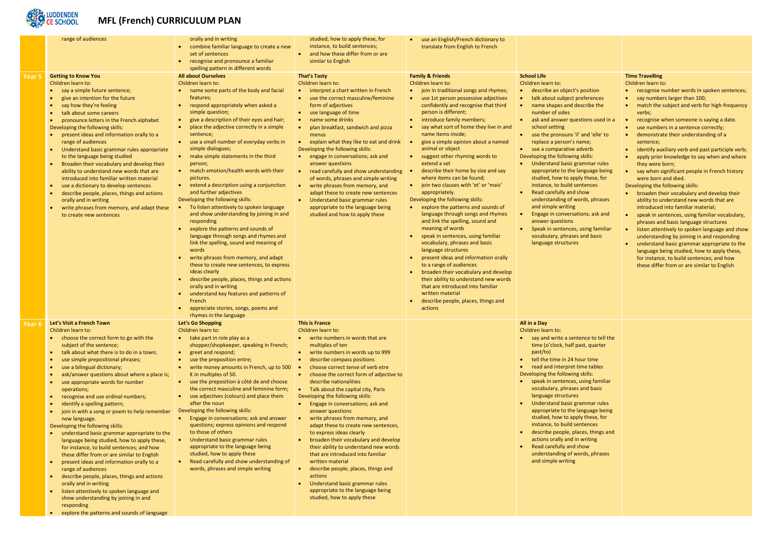

## **MFL (French) CURRICULUM PLAN**

|        | range of audiences                                                                                                                                                                                                                                                                                                                                                                                                                                                                                                                                                                                                                                                                                                                                                                                                                                                                                                                                                                                                                                                                          | orally and in writing<br>combine familiar language to create a new<br>set of sentences<br>recognise and pronounce a familiar<br>spelling pattern in different words                                                                                                                                                                                                                                                                                                                                                                                                                                                                                                                                                                                                                                                                                                                                                                                                                                                                                                                                                                                           | studied, how to apply these, for<br>instance, to build sentences;<br>and how these differ from or are<br>similar to English                                                                                                                                                                                                                                                                                                                                                                                                                                                                                                                                                                                                                                                                                                                     | use an English/French dictionary to<br>translate from English to French                                                                                                                                                                                                                                                                                                                                                                                                                                                                                                                                                                                                                                                                                                                                                                                                                                                                                                                                                                                                                     |                                                                                                                                                                                                                                                                                                                                                                                                                                                                                                                                                                                                                                                                                                                                                 |
|--------|---------------------------------------------------------------------------------------------------------------------------------------------------------------------------------------------------------------------------------------------------------------------------------------------------------------------------------------------------------------------------------------------------------------------------------------------------------------------------------------------------------------------------------------------------------------------------------------------------------------------------------------------------------------------------------------------------------------------------------------------------------------------------------------------------------------------------------------------------------------------------------------------------------------------------------------------------------------------------------------------------------------------------------------------------------------------------------------------|---------------------------------------------------------------------------------------------------------------------------------------------------------------------------------------------------------------------------------------------------------------------------------------------------------------------------------------------------------------------------------------------------------------------------------------------------------------------------------------------------------------------------------------------------------------------------------------------------------------------------------------------------------------------------------------------------------------------------------------------------------------------------------------------------------------------------------------------------------------------------------------------------------------------------------------------------------------------------------------------------------------------------------------------------------------------------------------------------------------------------------------------------------------|-------------------------------------------------------------------------------------------------------------------------------------------------------------------------------------------------------------------------------------------------------------------------------------------------------------------------------------------------------------------------------------------------------------------------------------------------------------------------------------------------------------------------------------------------------------------------------------------------------------------------------------------------------------------------------------------------------------------------------------------------------------------------------------------------------------------------------------------------|---------------------------------------------------------------------------------------------------------------------------------------------------------------------------------------------------------------------------------------------------------------------------------------------------------------------------------------------------------------------------------------------------------------------------------------------------------------------------------------------------------------------------------------------------------------------------------------------------------------------------------------------------------------------------------------------------------------------------------------------------------------------------------------------------------------------------------------------------------------------------------------------------------------------------------------------------------------------------------------------------------------------------------------------------------------------------------------------|-------------------------------------------------------------------------------------------------------------------------------------------------------------------------------------------------------------------------------------------------------------------------------------------------------------------------------------------------------------------------------------------------------------------------------------------------------------------------------------------------------------------------------------------------------------------------------------------------------------------------------------------------------------------------------------------------------------------------------------------------|
| Year 5 | <b>Getting to Know You</b><br>Children learn to:<br>say a simple future sentence;<br>give an intention for the future<br>$\bullet$<br>say how they're feeling<br>$\bullet$<br>talk about some careers<br>pronounce letters in the French alphabet<br>$\bullet$<br>Developing the following skills:<br>present ideas and information orally to a<br>$\bullet$<br>range of audiences<br>Understand basic grammar rules appropriate<br>$\bullet$<br>to the language being studied<br>Broaden their vocabulary and develop their<br>ability to understand new words that are<br>introduced into familiar written material<br>use a dictionary to develop sentences<br>$\bullet$<br>describe people, places, things and actions<br>$\bullet$<br>orally and in writing<br>write phrases from memory, and adapt these<br>$\bullet$<br>to create new sentences                                                                                                                                                                                                                                      | <b>All about Ourselves</b><br>Children learn to:<br>name some parts of the body and facial<br>features;<br>respond appropriately when asked a<br>simple question;<br>give a description of their eyes and hair;<br>$\bullet$<br>place the adjective correctly in a simple<br>sentence;<br>use a small number of everyday verbs in<br>simple dialogues;<br>make simple statements in the third<br>$\bullet$<br>person;<br>match emotion/health words with their<br>$\bullet$<br>pictures.<br>extend a description using a conjunction<br>$\bullet$<br>and further adjectives<br>Developing the following skills:<br>To listen attentively to spoken language<br>and show understanding by joining in and<br>responding<br>explore the patterns and sounds of<br>language through songs and rhymes and<br>link the spelling, sound and meaning of<br>words<br>write phrases from memory, and adapt<br>these to create new sentences, to express<br>ideas clearly<br>describe people, places, things and actions<br>orally and in writing<br>understand key features and patterns of<br>French<br>appreciate stories, songs, poems and<br>rhymes in the language | <b>That's Tasty</b><br>Children learn to:<br>interpret a chart written in French<br>use the correct masculine/feminine<br>form of adjectives<br>use language of time<br>name some drinks<br>plan breakfast, sandwich and pizza<br>menus<br>explain what they like to eat and drink<br>Developing the following skills:<br>engage in conversations; ask and<br>answer questions<br>read carefully and show understanding<br>of words, phrases and simple writing<br>write phrases from memory, and<br>adapt these to create new sentences<br>Understand basic grammar rules<br>appropriate to the language being<br>studied and how to apply these                                                                                                                                                                                               | <b>Family &amp; Friends</b><br>Children learn to:<br>join in traditional songs and rhymes;<br>use 1st person possessive adjectives<br>confidently and recognise that third<br>person is different;<br>introduce family members;<br>say what sort of home they live in and<br>name items inside;<br>give a simple opinion about a named<br>animal or object<br>suggest other rhyming words to<br>extend a set<br>describe their home by size and say<br>where items can be found;<br>join two clauses with 'et' or 'mais'<br>$\bullet$<br>appropriately.<br>Developing the following skills:<br>explore the patterns and sounds of<br>language through songs and rhymes<br>and link the spelling, sound and<br>meaning of words<br>speak in sentences, using familiar<br>vocabulary, phrases and basic<br>language structures<br>present ideas and information orally<br>to a range of audiences<br>broaden their vocabulary and develop<br>their ability to understand new words<br>that are introduced into familiar<br>written material<br>describe people, places, things and<br>actions | <b>School Life</b><br>Children learn to:<br>describe an object's position<br>talk about subject preferences<br>name shapes and describe the<br>number of sides<br>ask and answer questions used in a<br>school setting<br>use the pronouns 'il' and 'elle' to<br>replace a person's name;<br>use a comparative adverb.<br>Developing the following skills:<br>Understand basic grammar rules<br>appropriate to the language being<br>studied, how to apply these, for<br>instance, to build sentences<br>Read carefully and show<br>understanding of words, phrases<br>and simple writing<br>Engage in conversations; ask and<br>answer questions<br>Speak in sentences, using familiar<br>vocabulary, phrases and basic<br>language structures |
|        | Let's Visit a French Town<br>Children learn to:<br>• choose the correct form to go with the<br>subject of the sentence;<br>talk about what there is to do in a town;<br>$\bullet$<br>use simple prepositional phrases;<br>use a bilingual dictionary;<br>$\bullet$<br>ask/answer questions about where a place is;<br>use appropriate words for number<br>operations;<br>recognise and use ordinal numbers;<br>identify a spelling pattern;<br>join in with a song or poem to help remember<br>$\bullet$<br>new language.<br>Developing the following skills:<br>understand basic grammar appropriate to the<br>language being studied, how to apply these,<br>for instance, to build sentences; and how<br>these differ from or are similar to English<br>present ideas and information orally to a<br>$\bullet$<br>range of audiences<br>describe people, places, things and actions<br>$\bullet$<br>orally and in writing<br>listen attentively to spoken language and<br>show understanding by joining in and<br>responding<br>explore the patterns and sounds of language<br>$\bullet$ | Let's Go Shopping<br>Children learn to:<br>take part in role play as a<br>shopper/shopkeeper, speaking in French;<br>greet and respond;<br>use the preposition entre;<br>write money amounts in French, up to 500<br>€ in multiples of 50.<br>use the preposition à côté de and choose<br>$\bullet$<br>the correct masculine and feminine form;<br>use adjectives (colours) and place them<br>after the noun<br>Developing the following skills:<br>Engage in conversations; ask and answer<br>questions; express opinions and respond<br>to those of others<br>Understand basic grammar rules<br>appropriate to the language being<br>studied, how to apply these<br>Read carefully and show understanding of<br>words, phrases and simple writing                                                                                                                                                                                                                                                                                                                                                                                                           | This is France<br>Children learn to:<br>• write numbers in words that are<br>multiples of ten<br>write numbers in words up to 999<br>$\bullet$<br>describe compass positions<br>$\bullet$<br>choose correct tense of verb etre<br>choose the correct form of adjective to<br>describe nationalities<br>• Talk about the capital city, Paris<br>Developing the following skills:<br>Engage in conversations; ask and<br>answer questions<br>write phrases from memory, and<br>adapt these to create new sentences,<br>to express ideas clearly<br>broaden their vocabulary and develop<br>their ability to understand new words<br>that are introduced into familiar<br>written material<br>describe people, places, things and<br>actions<br>Understand basic grammar rules<br>appropriate to the language being<br>studied, how to apply these |                                                                                                                                                                                                                                                                                                                                                                                                                                                                                                                                                                                                                                                                                                                                                                                                                                                                                                                                                                                                                                                                                             | All in a Day<br>Children learn to:<br>• say and write a sentence to tell the<br>time (o'clock, half past, quarter<br>past/to)<br>tell the time in 24 hour time<br>read and interpret time tables<br>Developing the following skills:<br>speak in sentences, using familiar<br>vocabulary, phrases and basic<br>language structures<br>Understand basic grammar rules<br>appropriate to the language being<br>studied, how to apply these, for<br>instance, to build sentences<br>describe people, places, things and<br>actions orally and in writing<br>Read carefully and show<br>understanding of words, phrases<br>and simple writing                                                                                                       |

| osition<br>eferences<br>cribe the<br>tions used in a<br>and 'elle' to<br>me;<br>verb.<br>skills:<br>mmar rules<br>nguage being<br>these, for<br>tences<br><b>OW</b><br>rds, phrases<br>ons; ask and<br>sing familiar<br>and basic | <b>Time Travelling</b><br>Children learn to:<br>recognise number words in spoken sentences;<br>say numbers larger than 100;<br>match the subject and verb for high-frequency<br>verbs;<br>recognise when someone is saying a date.<br>use numbers in a sentence correctly;<br>demonstrate their understanding of a<br>sentence:<br>identify auxiliary verb and past participle verb;<br>$\bullet$<br>apply prior knowledge to say when and where<br>$\bullet$<br>they were born;<br>say when significant people in French history<br>were born and died.<br>Developing the following skills:<br>broaden their vocabulary and develop their<br>$\bullet$<br>ability to understand new words that are<br>introduced into familiar material;<br>speak in sentences, using familiar vocabulary,<br>phrases and basic language structures<br>listen attentively to spoken language and show<br>understanding by joining in and responding<br>understand basic grammar appropriate to the<br>language being studied, how to apply these,<br>for instance, to build sentences; and how<br>these differ from or are similar to English |
|-----------------------------------------------------------------------------------------------------------------------------------------------------------------------------------------------------------------------------------|--------------------------------------------------------------------------------------------------------------------------------------------------------------------------------------------------------------------------------------------------------------------------------------------------------------------------------------------------------------------------------------------------------------------------------------------------------------------------------------------------------------------------------------------------------------------------------------------------------------------------------------------------------------------------------------------------------------------------------------------------------------------------------------------------------------------------------------------------------------------------------------------------------------------------------------------------------------------------------------------------------------------------------------------------------------------------------------------------------------------------------|
| nce to tell the<br>st, quarter<br>ur time<br>ne tables<br>skills:<br>sing familiar<br><b>nd basic</b><br>mmar rules<br>nguage being<br>these, for<br>tences<br>es, things and<br>writing<br>ow<br>rds, phrases                    |                                                                                                                                                                                                                                                                                                                                                                                                                                                                                                                                                                                                                                                                                                                                                                                                                                                                                                                                                                                                                                                                                                                                |